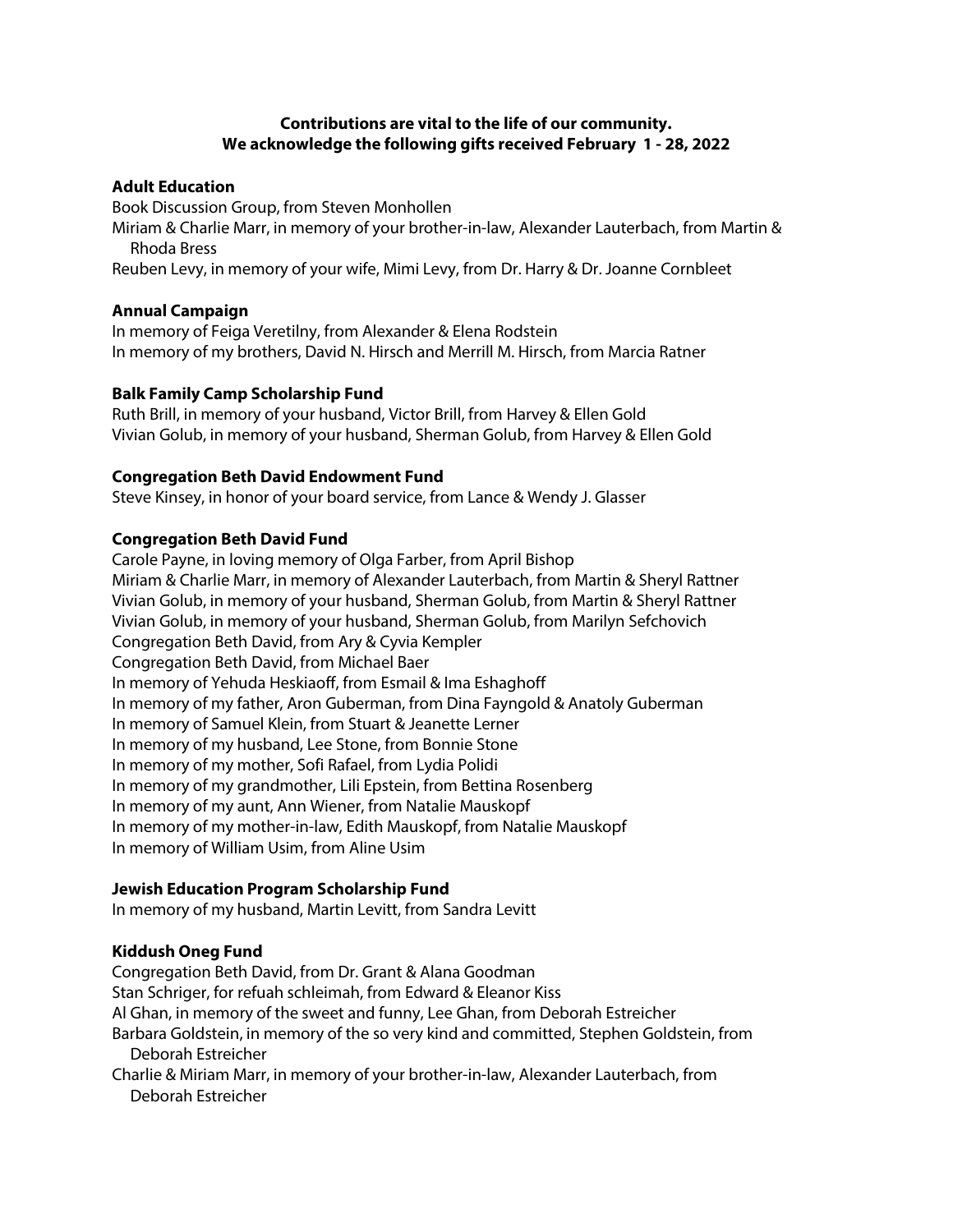# **Contributions are vital to the life of our community. We acknowledge the following gifts received February 1 - 28, 2022**

## **Adult Education**

Book Discussion Group, from Steven Monhollen

Miriam & Charlie Marr, in memory of your brother-in-law, Alexander Lauterbach, from Martin & Rhoda Bress

Reuben Levy, in memory of your wife, Mimi Levy, from Dr. Harry & Dr. Joanne Cornbleet

## **Annual Campaign**

In memory of Feiga Veretilny, from Alexander & Elena Rodstein In memory of my brothers, David N. Hirsch and Merrill M. Hirsch, from Marcia Ratner

## **Balk Family Camp Scholarship Fund**

Ruth Brill, in memory of your husband, Victor Brill, from Harvey & Ellen Gold Vivian Golub, in memory of your husband, Sherman Golub, from Harvey & Ellen Gold

## **Congregation Beth David Endowment Fund**

Steve Kinsey, in honor of your board service, from Lance & Wendy J. Glasser

# **Congregation Beth David Fund**

Carole Payne, in loving memory of Olga Farber, from April Bishop Miriam & Charlie Marr, in memory of Alexander Lauterbach, from Martin & Sheryl Rattner Vivian Golub, in memory of your husband, Sherman Golub, from Martin & Sheryl Rattner Vivian Golub, in memory of your husband, Sherman Golub, from Marilyn Sefchovich Congregation Beth David, from Ary & Cyvia Kempler Congregation Beth David, from Michael Baer In memory of Yehuda Heskiaoff, from Esmail & Ima Eshaghoff In memory of my father, Aron Guberman, from Dina Fayngold & Anatoly Guberman In memory of Samuel Klein, from Stuart & Jeanette Lerner In memory of my husband, Lee Stone, from Bonnie Stone In memory of my mother, Sofi Rafael, from Lydia Polidi In memory of my grandmother, Lili Epstein, from Bettina Rosenberg In memory of my aunt, Ann Wiener, from Natalie Mauskopf In memory of my mother-in-law, Edith Mauskopf, from Natalie Mauskopf In memory of William Usim, from Aline Usim

# **Jewish Education Program Scholarship Fund**

In memory of my husband, Martin Levitt, from Sandra Levitt

# **Kiddush Oneg Fund**

Congregation Beth David, from Dr. Grant & Alana Goodman Stan Schriger, for refuah schleimah, from Edward & Eleanor Kiss Al Ghan, in memory of the sweet and funny, Lee Ghan, from Deborah Estreicher Barbara Goldstein, in memory of the so very kind and committed, Stephen Goldstein, from Deborah Estreicher Charlie & Miriam Marr, in memory of your brother-in-law, Alexander Lauterbach, from Deborah Estreicher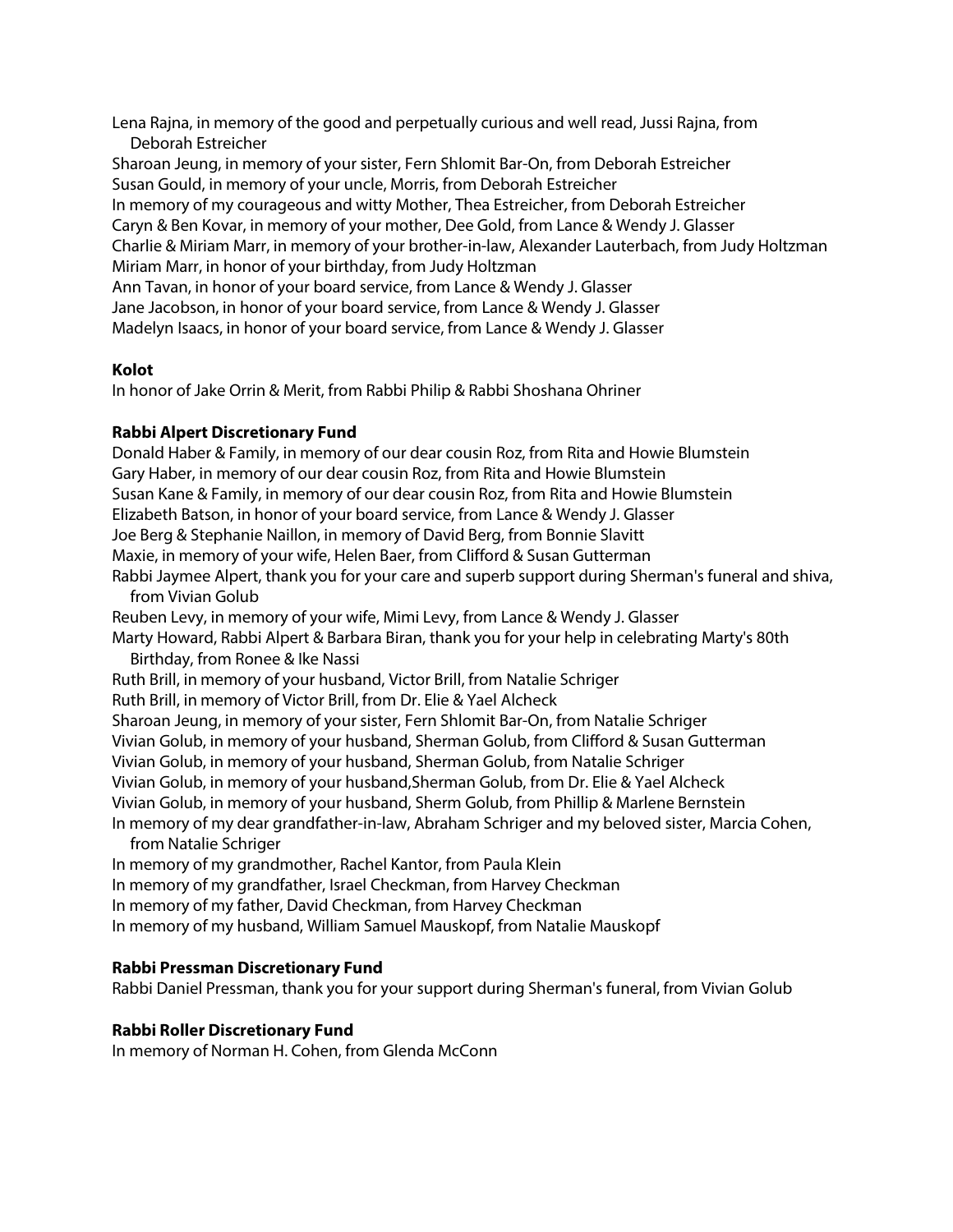Lena Rajna, in memory of the good and perpetually curious and well read, Jussi Rajna, from Deborah Estreicher Sharoan Jeung, in memory of your sister, Fern Shlomit Bar-On, from Deborah Estreicher Susan Gould, in memory of your uncle, Morris, from Deborah Estreicher In memory of my courageous and witty Mother, Thea Estreicher, from Deborah Estreicher Caryn & Ben Kovar, in memory of your mother, Dee Gold, from Lance & Wendy J. Glasser Charlie & Miriam Marr, in memory of your brother-in-law, Alexander Lauterbach, from Judy Holtzman Miriam Marr, in honor of your birthday, from Judy Holtzman Ann Tavan, in honor of your board service, from Lance & Wendy J. Glasser Jane Jacobson, in honor of your board service, from Lance & Wendy J. Glasser Madelyn Isaacs, in honor of your board service, from Lance & Wendy J. Glasser

## **Kolot**

In honor of Jake Orrin & Merit, from Rabbi Philip & Rabbi Shoshana Ohriner

## **Rabbi Alpert Discretionary Fund**

Donald Haber & Family, in memory of our dear cousin Roz, from Rita and Howie Blumstein Gary Haber, in memory of our dear cousin Roz, from Rita and Howie Blumstein Susan Kane & Family, in memory of our dear cousin Roz, from Rita and Howie Blumstein Elizabeth Batson, in honor of your board service, from Lance & Wendy J. Glasser Joe Berg & Stephanie Naillon, in memory of David Berg, from Bonnie Slavitt Maxie, in memory of your wife, Helen Baer, from Clifford & Susan Gutterman Rabbi Jaymee Alpert, thank you for your care and superb support during Sherman's funeral and shiva, from Vivian Golub Reuben Levy, in memory of your wife, Mimi Levy, from Lance & Wendy J. Glasser Marty Howard, Rabbi Alpert & Barbara Biran, thank you for your help in celebrating Marty's 80th Birthday, from Ronee & Ike Nassi Ruth Brill, in memory of your husband, Victor Brill, from Natalie Schriger Ruth Brill, in memory of Victor Brill, from Dr. Elie & Yael Alcheck Sharoan Jeung, in memory of your sister, Fern Shlomit Bar-On, from Natalie Schriger Vivian Golub, in memory of your husband, Sherman Golub, from Clifford & Susan Gutterman Vivian Golub, in memory of your husband, Sherman Golub, from Natalie Schriger Vivian Golub, in memory of your husband,Sherman Golub, from Dr. Elie & Yael Alcheck Vivian Golub, in memory of your husband, Sherm Golub, from Phillip & Marlene Bernstein In memory of my dear grandfather-in-law, Abraham Schriger and my beloved sister, Marcia Cohen, from Natalie Schriger In memory of my grandmother, Rachel Kantor, from Paula Klein

In memory of my grandfather, Israel Checkman, from Harvey Checkman In memory of my father, David Checkman, from Harvey Checkman In memory of my husband, William Samuel Mauskopf, from Natalie Mauskopf

#### **Rabbi Pressman Discretionary Fund**

Rabbi Daniel Pressman, thank you for your support during Sherman's funeral, from Vivian Golub

#### **Rabbi Roller Discretionary Fund**

In memory of Norman H. Cohen, from Glenda McConn